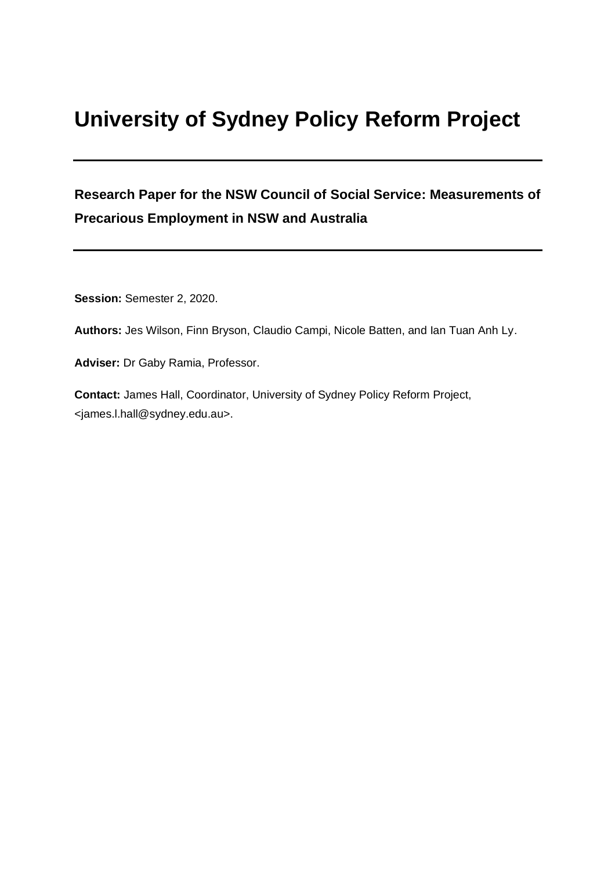# **University of Sydney Policy Reform Project**

## **Research Paper for the NSW Council of Social Service: Measurements of Precarious Employment in NSW and Australia**

**Session:** Semester 2, 2020.

**Authors:** Jes Wilson, Finn Bryson, Claudio Campi, Nicole Batten, and Ian Tuan Anh Ly.

**Adviser:** Dr Gaby Ramia, Professor.

**Contact:** James Hall, Coordinator, University of Sydney Policy Reform Project, <james.l.hall@sydney.edu.au>.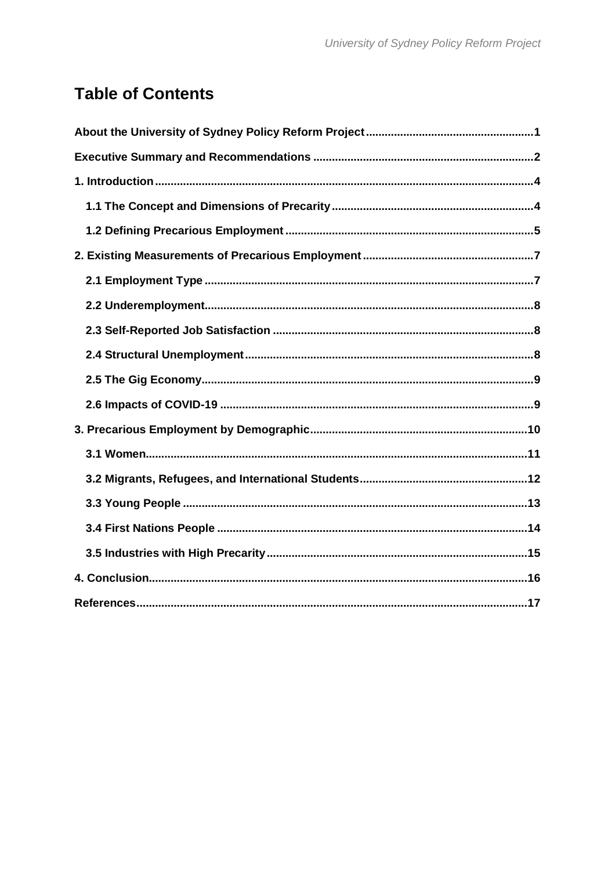## **Table of Contents**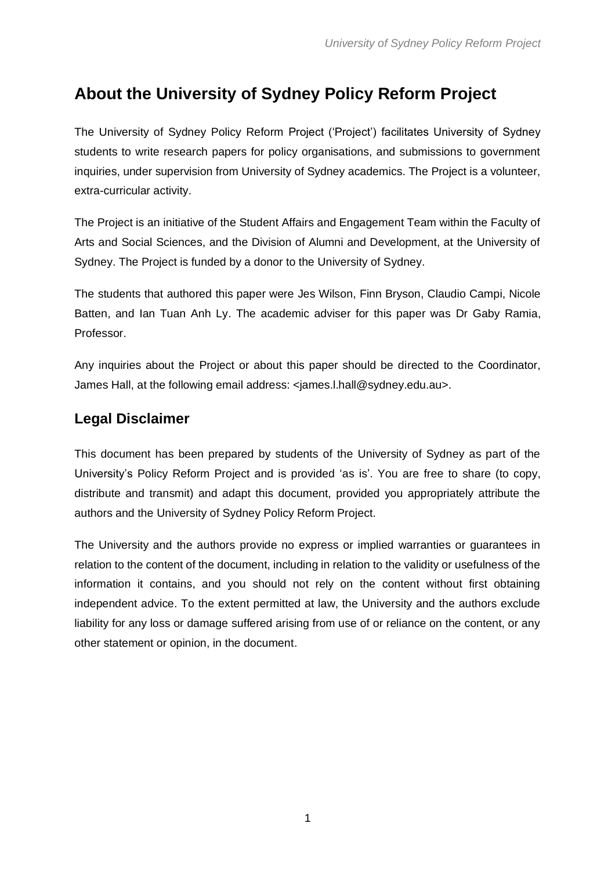## <span id="page-2-0"></span>**About the University of Sydney Policy Reform Project**

The University of Sydney Policy Reform Project ('Project') facilitates University of Sydney students to write research papers for policy organisations, and submissions to government inquiries, under supervision from University of Sydney academics. The Project is a volunteer, extra-curricular activity.

The Project is an initiative of the Student Affairs and Engagement Team within the Faculty of Arts and Social Sciences, and the Division of Alumni and Development, at the University of Sydney. The Project is funded by a donor to the University of Sydney.

The students that authored this paper were Jes Wilson, Finn Bryson, Claudio Campi, Nicole Batten, and Ian Tuan Anh Ly. The academic adviser for this paper was Dr Gaby Ramia, Professor.

Any inquiries about the Project or about this paper should be directed to the Coordinator, James Hall, at the following email address: <james.l.hall@sydney.edu.au>.

### **Legal Disclaimer**

This document has been prepared by students of the University of Sydney as part of the University's Policy Reform Project and is provided 'as is'. You are free to share (to copy, distribute and transmit) and adapt this document, provided you appropriately attribute the authors and the University of Sydney Policy Reform Project.

The University and the authors provide no express or implied warranties or guarantees in relation to the content of the document, including in relation to the validity or usefulness of the information it contains, and you should not rely on the content without first obtaining independent advice. To the extent permitted at law, the University and the authors exclude liability for any loss or damage suffered arising from use of or reliance on the content, or any other statement or opinion, in the document.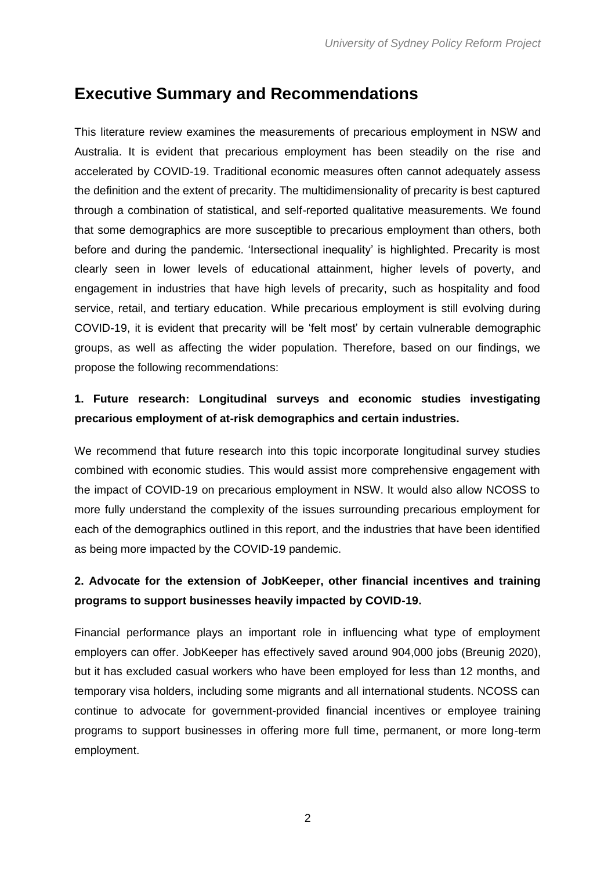## <span id="page-3-0"></span>**Executive Summary and Recommendations**

This literature review examines the measurements of precarious employment in NSW and Australia. It is evident that precarious employment has been steadily on the rise and accelerated by COVID-19. Traditional economic measures often cannot adequately assess the definition and the extent of precarity. The multidimensionality of precarity is best captured through a combination of statistical, and self-reported qualitative measurements. We found that some demographics are more susceptible to precarious employment than others, both before and during the pandemic. 'Intersectional inequality' is highlighted. Precarity is most clearly seen in lower levels of educational attainment, higher levels of poverty, and engagement in industries that have high levels of precarity, such as hospitality and food service, retail, and tertiary education. While precarious employment is still evolving during COVID-19, it is evident that precarity will be 'felt most' by certain vulnerable demographic groups, as well as affecting the wider population. Therefore, based on our findings, we propose the following recommendations:

#### **1. Future research: Longitudinal surveys and economic studies investigating precarious employment of at-risk demographics and certain industries.**

We recommend that future research into this topic incorporate longitudinal survey studies combined with economic studies. This would assist more comprehensive engagement with the impact of COVID-19 on precarious employment in NSW. It would also allow NCOSS to more fully understand the complexity of the issues surrounding precarious employment for each of the demographics outlined in this report, and the industries that have been identified as being more impacted by the COVID-19 pandemic.

#### **2. Advocate for the extension of JobKeeper, other financial incentives and training programs to support businesses heavily impacted by COVID-19.**

Financial performance plays an important role in influencing what type of employment employers can offer. JobKeeper has effectively saved around 904,000 jobs (Breunig 2020), but it has excluded casual workers who have been employed for less than 12 months, and temporary visa holders, including some migrants and all international students. NCOSS can continue to advocate for government-provided financial incentives or employee training programs to support businesses in offering more full time, permanent, or more long-term employment.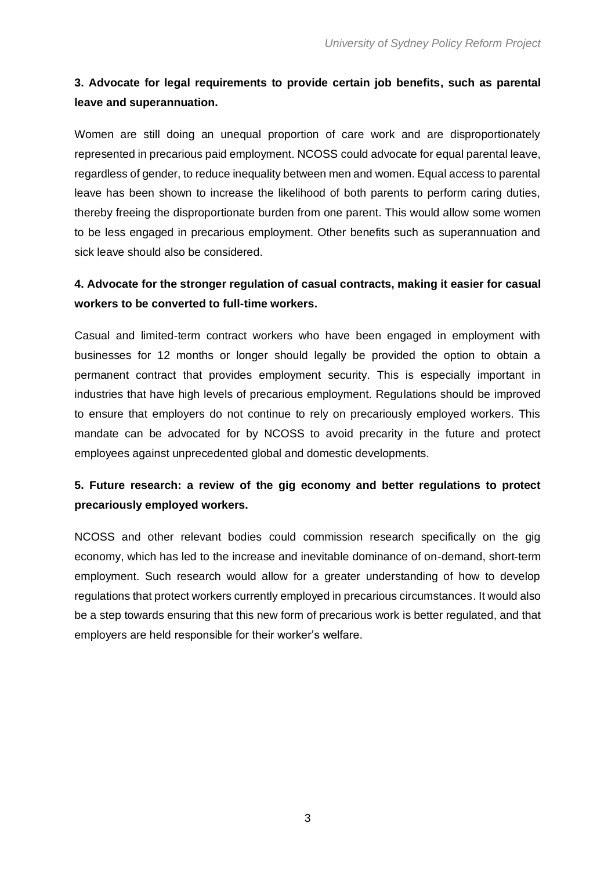#### **3. Advocate for legal requirements to provide certain job benefits, such as parental leave and superannuation.**

Women are still doing an unequal proportion of care work and are disproportionately represented in precarious paid employment. NCOSS could advocate for equal parental leave, regardless of gender, to reduce inequality between men and women. Equal access to parental leave has been shown to increase the likelihood of both parents to perform caring duties, thereby freeing the disproportionate burden from one parent. This would allow some women to be less engaged in precarious employment. Other benefits such as superannuation and sick leave should also be considered.

#### **4. Advocate for the stronger regulation of casual contracts, making it easier for casual workers to be converted to full-time workers.**

Casual and limited-term contract workers who have been engaged in employment with businesses for 12 months or longer should legally be provided the option to obtain a permanent contract that provides employment security. This is especially important in industries that have high levels of precarious employment. Regulations should be improved to ensure that employers do not continue to rely on precariously employed workers. This mandate can be advocated for by NCOSS to avoid precarity in the future and protect employees against unprecedented global and domestic developments.

#### **5. Future research: a review of the gig economy and better regulations to protect precariously employed workers.**

NCOSS and other relevant bodies could commission research specifically on the gig economy, which has led to the increase and inevitable dominance of on-demand, short-term employment. Such research would allow for a greater understanding of how to develop regulations that protect workers currently employed in precarious circumstances. It would also be a step towards ensuring that this new form of precarious work is better regulated, and that employers are held responsible for their worker's welfare.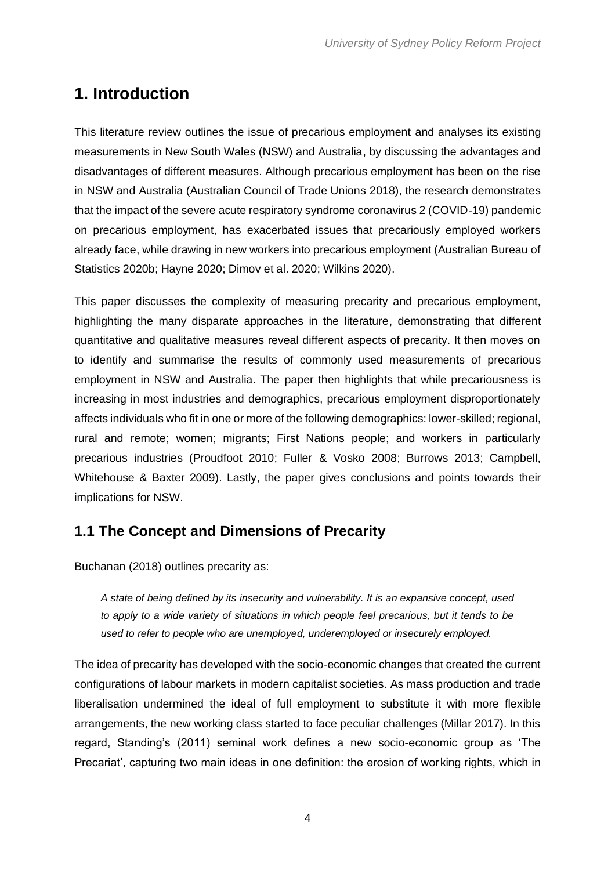## <span id="page-5-0"></span>**1. Introduction**

This literature review outlines the issue of precarious employment and analyses its existing measurements in New South Wales (NSW) and Australia, by discussing the advantages and disadvantages of different measures. Although precarious employment has been on the rise in NSW and Australia (Australian Council of Trade Unions 2018), the research demonstrates that the impact of the severe acute respiratory syndrome coronavirus 2 (COVID-19) pandemic on precarious employment, has exacerbated issues that precariously employed workers already face, while drawing in new workers into precarious employment (Australian Bureau of Statistics 2020b; Hayne 2020; Dimov et al. 2020; Wilkins 2020).

This paper discusses the complexity of measuring precarity and precarious employment, highlighting the many disparate approaches in the literature, demonstrating that different quantitative and qualitative measures reveal different aspects of precarity. It then moves on to identify and summarise the results of commonly used measurements of precarious employment in NSW and Australia. The paper then highlights that while precariousness is increasing in most industries and demographics, precarious employment disproportionately affects individuals who fit in one or more of the following demographics: lower-skilled; regional, rural and remote; women; migrants; First Nations people; and workers in particularly precarious industries (Proudfoot 2010; Fuller & Vosko 2008; Burrows 2013; Campbell, Whitehouse & Baxter 2009). Lastly, the paper gives conclusions and points towards their implications for NSW.

## <span id="page-5-1"></span>**1.1 The Concept and Dimensions of Precarity**

Buchanan (2018) outlines precarity as:

*A state of being defined by its insecurity and vulnerability. It is an expansive concept, used to apply to a wide variety of situations in which people feel precarious, but it tends to be used to refer to people who are unemployed, underemployed or insecurely employed.* 

The idea of precarity has developed with the socio-economic changes that created the current configurations of labour markets in modern capitalist societies. As mass production and trade liberalisation undermined the ideal of full employment to substitute it with more flexible arrangements, the new working class started to face peculiar challenges (Millar 2017). In this regard, Standing's (2011) seminal work defines a new socio-economic group as 'The Precariat', capturing two main ideas in one definition: the erosion of working rights, which in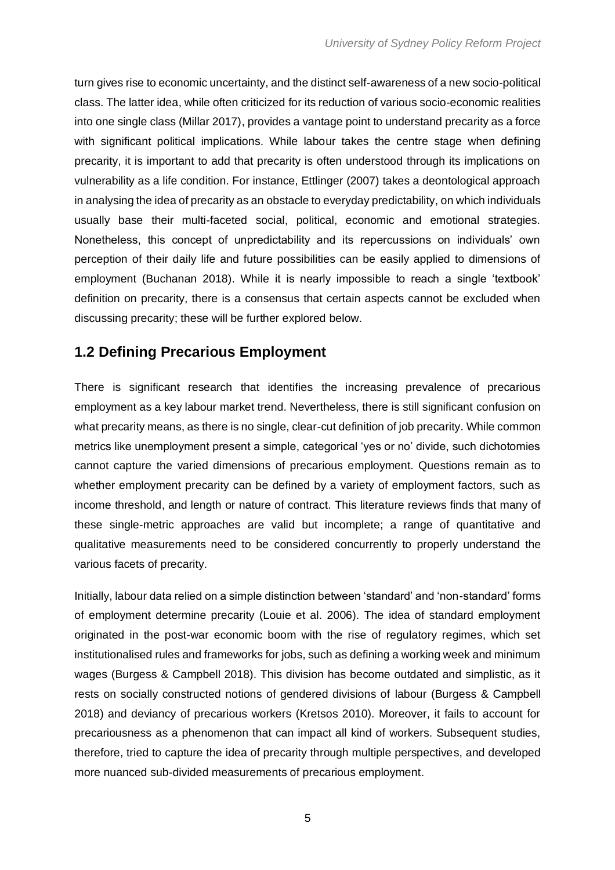turn gives rise to economic uncertainty, and the distinct self-awareness of a new socio-political class. The latter idea, while often criticized for its reduction of various socio-economic realities into one single class (Millar 2017), provides a vantage point to understand precarity as a force with significant political implications. While labour takes the centre stage when defining precarity, it is important to add that precarity is often understood through its implications on vulnerability as a life condition. For instance, Ettlinger (2007) takes a deontological approach in analysing the idea of precarity as an obstacle to everyday predictability, on which individuals usually base their multi-faceted social, political, economic and emotional strategies. Nonetheless, this concept of unpredictability and its repercussions on individuals' own perception of their daily life and future possibilities can be easily applied to dimensions of employment (Buchanan 2018). While it is nearly impossible to reach a single 'textbook' definition on precarity, there is a consensus that certain aspects cannot be excluded when discussing precarity; these will be further explored below.

### <span id="page-6-0"></span>**1.2 Defining Precarious Employment**

There is significant research that identifies the increasing prevalence of precarious employment as a key labour market trend. Nevertheless, there is still significant confusion on what precarity means, as there is no single, clear-cut definition of job precarity. While common metrics like unemployment present a simple, categorical 'yes or no' divide, such dichotomies cannot capture the varied dimensions of precarious employment. Questions remain as to whether employment precarity can be defined by a variety of employment factors, such as income threshold, and length or nature of contract. This literature reviews finds that many of these single-metric approaches are valid but incomplete; a range of quantitative and qualitative measurements need to be considered concurrently to properly understand the various facets of precarity.

Initially, labour data relied on a simple distinction between 'standard' and 'non-standard' forms of employment determine precarity (Louie et al. 2006). The idea of standard employment originated in the post-war economic boom with the rise of regulatory regimes, which set institutionalised rules and frameworks for jobs, such as defining a working week and minimum wages (Burgess & Campbell 2018). This division has become outdated and simplistic, as it rests on socially constructed notions of gendered divisions of labour (Burgess & Campbell 2018) and deviancy of precarious workers (Kretsos 2010). Moreover, it fails to account for precariousness as a phenomenon that can impact all kind of workers. Subsequent studies, therefore, tried to capture the idea of precarity through multiple perspectives, and developed more nuanced sub-divided measurements of precarious employment.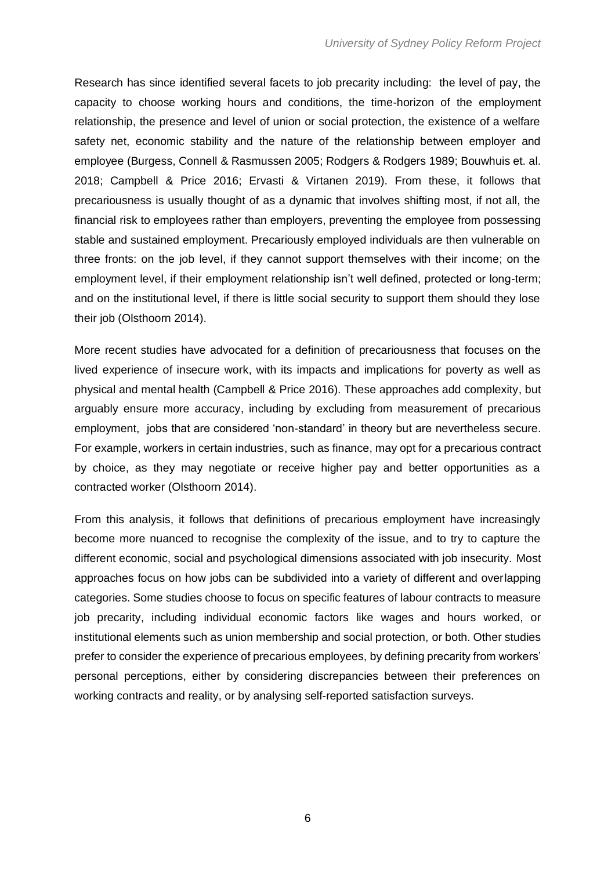Research has since identified several facets to job precarity including: the level of pay, the capacity to choose working hours and conditions, the time-horizon of the employment relationship, the presence and level of union or social protection, the existence of a welfare safety net, economic stability and the nature of the relationship between employer and employee (Burgess, Connell & Rasmussen 2005; Rodgers & Rodgers 1989; Bouwhuis et. al. 2018; Campbell & Price 2016; Ervasti & Virtanen 2019). From these, it follows that precariousness is usually thought of as a dynamic that involves shifting most, if not all, the financial risk to employees rather than employers, preventing the employee from possessing stable and sustained employment. Precariously employed individuals are then vulnerable on three fronts: on the job level, if they cannot support themselves with their income; on the employment level, if their employment relationship isn't well defined, protected or long-term; and on the institutional level, if there is little social security to support them should they lose their job (Olsthoorn 2014).

More recent studies have advocated for a definition of precariousness that focuses on the lived experience of insecure work, with its impacts and implications for poverty as well as physical and mental health (Campbell & Price 2016). These approaches add complexity, but arguably ensure more accuracy, including by excluding from measurement of precarious employment, jobs that are considered 'non-standard' in theory but are nevertheless secure. For example, workers in certain industries, such as finance, may opt for a precarious contract by choice, as they may negotiate or receive higher pay and better opportunities as a contracted worker (Olsthoorn 2014).

From this analysis, it follows that definitions of precarious employment have increasingly become more nuanced to recognise the complexity of the issue, and to try to capture the different economic, social and psychological dimensions associated with job insecurity. Most approaches focus on how jobs can be subdivided into a variety of different and overlapping categories. Some studies choose to focus on specific features of labour contracts to measure job precarity, including individual economic factors like wages and hours worked, or institutional elements such as union membership and social protection, or both. Other studies prefer to consider the experience of precarious employees, by defining precarity from workers' personal perceptions, either by considering discrepancies between their preferences on working contracts and reality, or by analysing self-reported satisfaction surveys.

6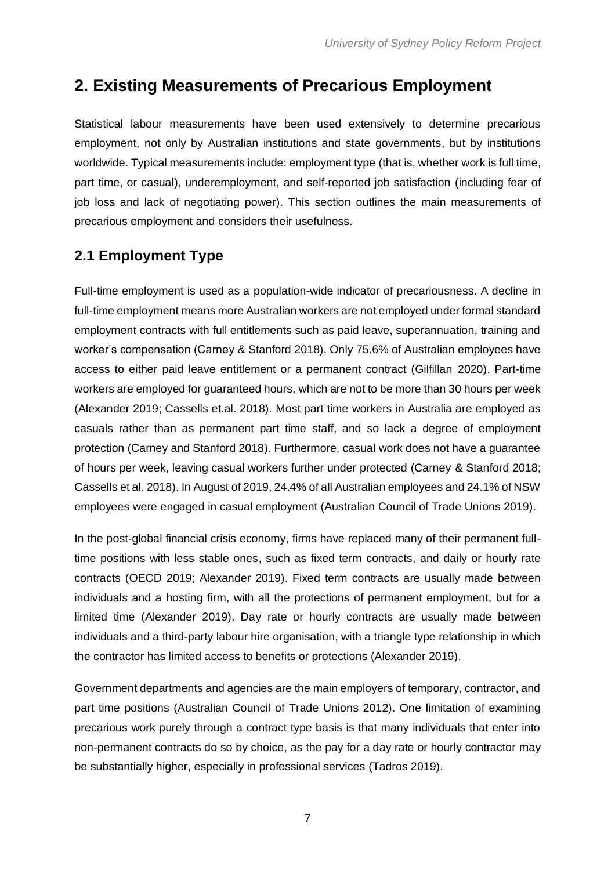## <span id="page-8-0"></span>**2. Existing Measurements of Precarious Employment**

Statistical labour measurements have been used extensively to determine precarious employment, not only by Australian institutions and state governments, but by institutions worldwide. Typical measurements include: employment type (that is, whether work is full time, part time, or casual), underemployment, and self-reported job satisfaction (including fear of job loss and lack of negotiating power). This section outlines the main measurements of precarious employment and considers their usefulness.

## <span id="page-8-1"></span>**2.1 Employment Type**

Full-time employment is used as a population-wide indicator of precariousness. A decline in full-time employment means more Australian workers are not employed under formal standard employment contracts with full entitlements such as paid leave, superannuation, training and worker's compensation (Carney & Stanford 2018). Only 75.6% of Australian employees have access to either paid leave entitlement or a permanent contract (Gilfillan 2020). Part-time workers are employed for guaranteed hours, which are not to be more than 30 hours per week (Alexander 2019; Cassells et.al. 2018). Most part time workers in Australia are employed as casuals rather than as permanent part time staff, and so lack a degree of employment protection (Carney and Stanford 2018). Furthermore, casual work does not have a guarantee of hours per week, leaving casual workers further under protected (Carney & Stanford 2018; Cassells et al. 2018). In August of 2019, 24.4% of all Australian employees and 24.1% of NSW employees were engaged in casual employment (Australian Council of Trade Unions 2019).

In the post-global financial crisis economy, firms have replaced many of their permanent fulltime positions with less stable ones, such as fixed term contracts, and daily or hourly rate contracts (OECD 2019; Alexander 2019). Fixed term contracts are usually made between individuals and a hosting firm, with all the protections of permanent employment, but for a limited time (Alexander 2019). Day rate or hourly contracts are usually made between individuals and a third-party labour hire organisation, with a triangle type relationship in which the contractor has limited access to benefits or protections (Alexander 2019).

Government departments and agencies are the main employers of temporary, contractor, and part time positions (Australian Council of Trade Unions 2012). One limitation of examining precarious work purely through a contract type basis is that many individuals that enter into non-permanent contracts do so by choice, as the pay for a day rate or hourly contractor may be substantially higher, especially in professional services (Tadros 2019).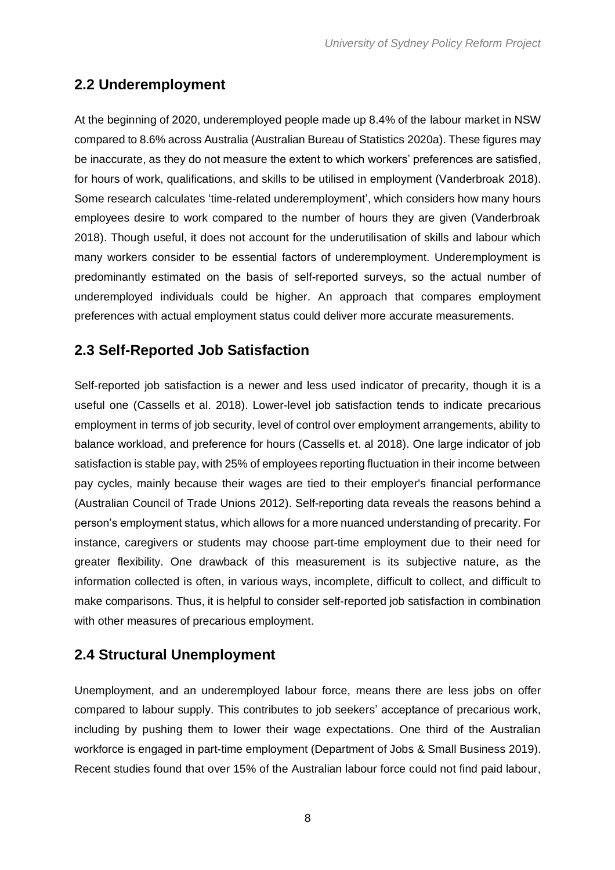## <span id="page-9-0"></span>**2.2 Underemployment**

At the beginning of 2020, underemployed people made up 8.4% of the labour market in NSW compared to 8.6% across Australia (Australian Bureau of Statistics 2020a). These figures may be inaccurate, as they do not measure the extent to which workers' preferences are satisfied, for hours of work, qualifications, and skills to be utilised in employment (Vanderbroak 2018). Some research calculates 'time-related underemployment', which considers how many hours employees desire to work compared to the number of hours they are given (Vanderbroak 2018). Though useful, it does not account for the underutilisation of skills and labour which many workers consider to be essential factors of underemployment. Underemployment is predominantly estimated on the basis of self-reported surveys, so the actual number of underemployed individuals could be higher. An approach that compares employment preferences with actual employment status could deliver more accurate measurements.

## <span id="page-9-1"></span>**2.3 Self-Reported Job Satisfaction**

Self-reported job satisfaction is a newer and less used indicator of precarity, though it is a useful one (Cassells et al. 2018). Lower-level job satisfaction tends to indicate precarious employment in terms of job security, level of control over employment arrangements, ability to balance workload, and preference for hours (Cassells et. al 2018). One large indicator of job satisfaction is stable pay, with 25% of employees reporting fluctuation in their income between pay cycles, mainly because their wages are tied to their employer's financial performance (Australian Council of Trade Unions 2012). Self-reporting data reveals the reasons behind a person's employment status, which allows for a more nuanced understanding of precarity. For instance, caregivers or students may choose part-time employment due to their need for greater flexibility. One drawback of this measurement is its subjective nature, as the information collected is often, in various ways, incomplete, difficult to collect, and difficult to make comparisons. Thus, it is helpful to consider self-reported job satisfaction in combination with other measures of precarious employment.

### <span id="page-9-2"></span>**2.4 Structural Unemployment**

Unemployment, and an underemployed labour force, means there are less jobs on offer compared to labour supply. This contributes to job seekers' acceptance of precarious work, including by pushing them to lower their wage expectations. One third of the Australian workforce is engaged in part-time employment (Department of Jobs & Small Business 2019). Recent studies found that over 15% of the Australian labour force could not find paid labour,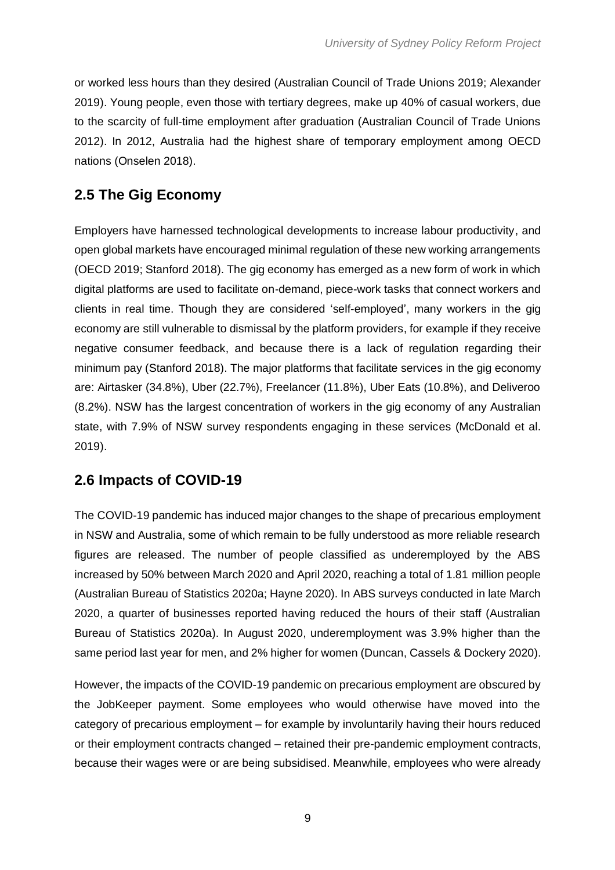or worked less hours than they desired (Australian Council of Trade Unions 2019; Alexander 2019). Young people, even those with tertiary degrees, make up 40% of casual workers, due to the scarcity of full-time employment after graduation (Australian Council of Trade Unions 2012). In 2012, Australia had the highest share of temporary employment among OECD nations (Onselen 2018).

## <span id="page-10-0"></span>**2.5 The Gig Economy**

Employers have harnessed technological developments to increase labour productivity, and open global markets have encouraged minimal regulation of these new working arrangements (OECD 2019; Stanford 2018). The gig economy has emerged as a new form of work in which digital platforms are used to facilitate on-demand, piece-work tasks that connect workers and clients in real time. Though they are considered 'self-employed', many workers in the gig economy are still vulnerable to dismissal by the platform providers, for example if they receive negative consumer feedback, and because there is a lack of regulation regarding their minimum pay (Stanford 2018). The major platforms that facilitate services in the gig economy are: Airtasker (34.8%), Uber (22.7%), Freelancer (11.8%), Uber Eats (10.8%), and Deliveroo (8.2%). NSW has the largest concentration of workers in the gig economy of any Australian state, with 7.9% of NSW survey respondents engaging in these services (McDonald et al. 2019).

### <span id="page-10-1"></span>**2.6 Impacts of COVID-19**

The COVID-19 pandemic has induced major changes to the shape of precarious employment in NSW and Australia, some of which remain to be fully understood as more reliable research figures are released. The number of people classified as underemployed by the ABS increased by 50% between March 2020 and April 2020, reaching a total of 1.81 million people (Australian Bureau of Statistics 2020a; Hayne 2020). In ABS surveys conducted in late March 2020, a quarter of businesses reported having reduced the hours of their staff (Australian Bureau of Statistics 2020a). In August 2020, underemployment was 3.9% higher than the same period last year for men, and 2% higher for women (Duncan, Cassels & Dockery 2020).

However, the impacts of the COVID-19 pandemic on precarious employment are obscured by the JobKeeper payment. Some employees who would otherwise have moved into the category of precarious employment – for example by involuntarily having their hours reduced or their employment contracts changed – retained their pre-pandemic employment contracts, because their wages were or are being subsidised. Meanwhile, employees who were already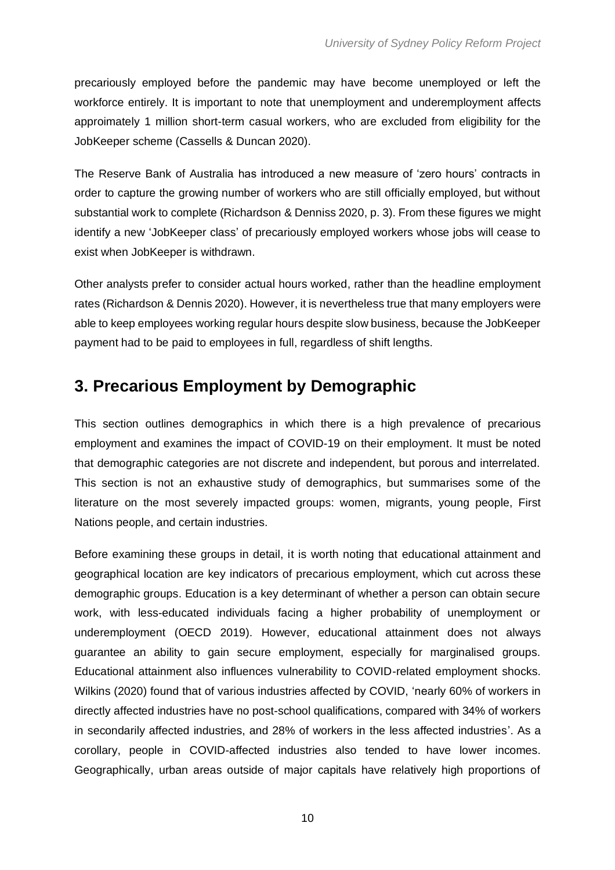precariously employed before the pandemic may have become unemployed or left the workforce entirely. It is important to note that unemployment and underemployment affects approimately 1 million short-term casual workers, who are excluded from eligibility for the JobKeeper scheme (Cassells & Duncan 2020).

The Reserve Bank of Australia has introduced a new measure of 'zero hours' contracts in order to capture the growing number of workers who are still officially employed, but without substantial work to complete (Richardson & Denniss 2020, p. 3). From these figures we might identify a new 'JobKeeper class' of precariously employed workers whose jobs will cease to exist when JobKeeper is withdrawn.

Other analysts prefer to consider actual hours worked, rather than the headline employment rates (Richardson & Dennis 2020). However, it is nevertheless true that many employers were able to keep employees working regular hours despite slow business, because the JobKeeper payment had to be paid to employees in full, regardless of shift lengths.

## <span id="page-11-0"></span>**3. Precarious Employment by Demographic**

This section outlines demographics in which there is a high prevalence of precarious employment and examines the impact of COVID-19 on their employment. It must be noted that demographic categories are not discrete and independent, but porous and interrelated. This section is not an exhaustive study of demographics, but summarises some of the literature on the most severely impacted groups: women, migrants, young people, First Nations people, and certain industries.

Before examining these groups in detail, it is worth noting that educational attainment and geographical location are key indicators of precarious employment, which cut across these demographic groups. Education is a key determinant of whether a person can obtain secure work, with less-educated individuals facing a higher probability of unemployment or underemployment (OECD 2019). However, educational attainment does not always guarantee an ability to gain secure employment, especially for marginalised groups. Educational attainment also influences vulnerability to COVID-related employment shocks. Wilkins (2020) found that of various industries affected by COVID, 'nearly 60% of workers in directly affected industries have no post-school qualifications, compared with 34% of workers in secondarily affected industries, and 28% of workers in the less affected industries'. As a corollary, people in COVID-affected industries also tended to have lower incomes. Geographically, urban areas outside of major capitals have relatively high proportions of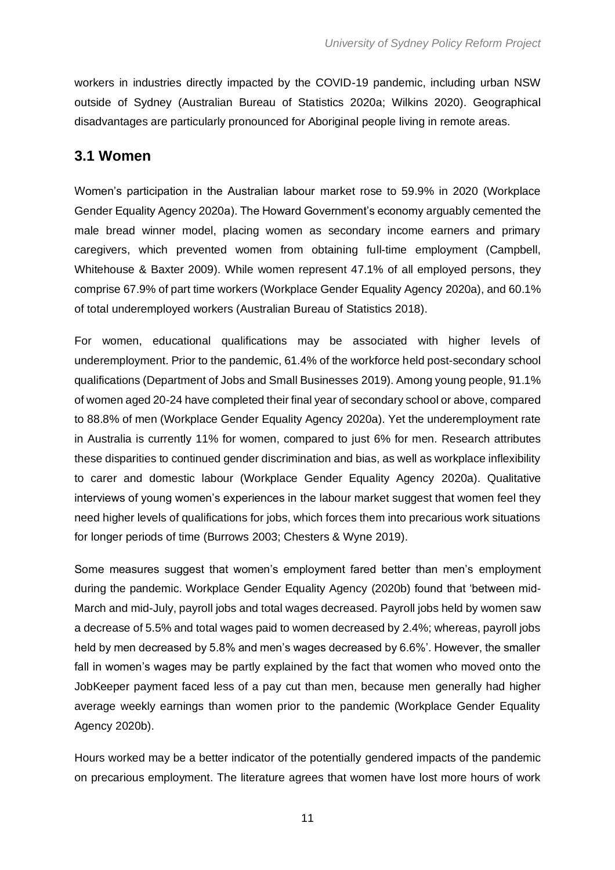workers in industries directly impacted by the COVID-19 pandemic, including urban NSW outside of Sydney (Australian Bureau of Statistics 2020a; Wilkins 2020). Geographical disadvantages are particularly pronounced for Aboriginal people living in remote areas.

#### <span id="page-12-0"></span>**3.1 Women**

Women's participation in the Australian labour market rose to 59.9% in 2020 (Workplace Gender Equality Agency 2020a). The Howard Government's economy arguably cemented the male bread winner model, placing women as secondary income earners and primary caregivers, which prevented women from obtaining full-time employment (Campbell, Whitehouse & Baxter 2009). While women represent 47.1% of all employed persons, they comprise 67.9% of part time workers (Workplace Gender Equality Agency 2020a), and 60.1% of total underemployed workers (Australian Bureau of Statistics 2018).

For women, educational qualifications may be associated with higher levels of underemployment. Prior to the pandemic, 61.4% of the workforce held post-secondary school qualifications (Department of Jobs and Small Businesses 2019). Among young people, 91.1% of women aged 20-24 have completed their final year of secondary school or above, compared to 88.8% of men (Workplace Gender Equality Agency 2020a). Yet the underemployment rate in Australia is currently 11% for women, compared to just 6% for men. Research attributes these disparities to continued gender discrimination and bias, as well as workplace inflexibility to carer and domestic labour (Workplace Gender Equality Agency 2020a). Qualitative interviews of young women's experiences in the labour market suggest that women feel they need higher levels of qualifications for jobs, which forces them into precarious work situations for longer periods of time (Burrows 2003; Chesters & Wyne 2019).

Some measures suggest that women's employment fared better than men's employment during the pandemic. Workplace Gender Equality Agency (2020b) found that 'between mid-March and mid-July, payroll jobs and total wages decreased. Payroll jobs held by women saw a decrease of 5.5% and total wages paid to women decreased by 2.4%; whereas, payroll jobs held by men decreased by 5.8% and men's wages decreased by 6.6%'. However, the smaller fall in women's wages may be partly explained by the fact that women who moved onto the JobKeeper payment faced less of a pay cut than men, because men generally had higher average weekly earnings than women prior to the pandemic (Workplace Gender Equality Agency 2020b).

Hours worked may be a better indicator of the potentially gendered impacts of the pandemic on precarious employment. The literature agrees that women have lost more hours of work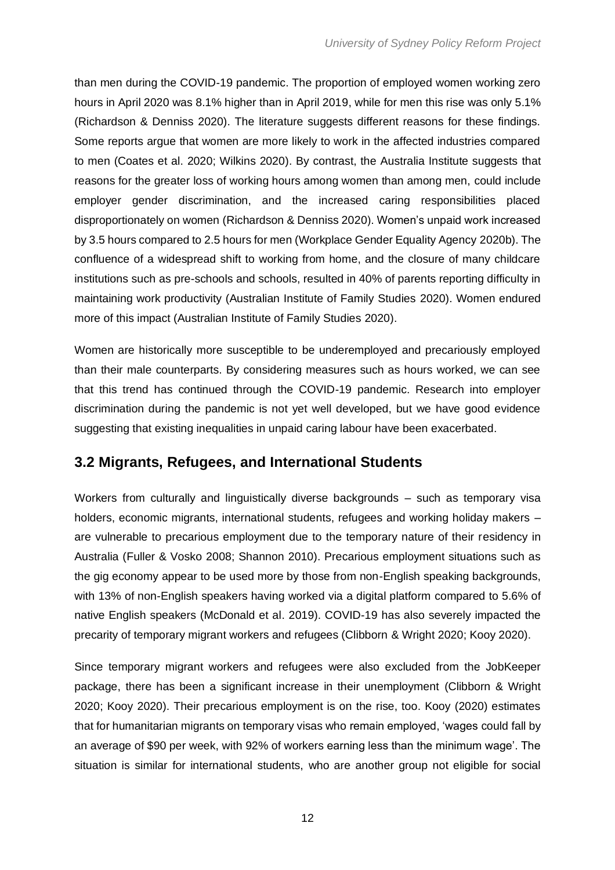than men during the COVID-19 pandemic. The proportion of employed women working zero hours in April 2020 was 8.1% higher than in April 2019, while for men this rise was only 5.1% (Richardson & Denniss 2020). The literature suggests different reasons for these findings. Some reports argue that women are more likely to work in the affected industries compared to men (Coates et al. 2020; Wilkins 2020). By contrast, the Australia Institute suggests that reasons for the greater loss of working hours among women than among men, could include employer gender discrimination, and the increased caring responsibilities placed disproportionately on women (Richardson & Denniss 2020). Women's unpaid work increased by 3.5 hours compared to 2.5 hours for men (Workplace Gender Equality Agency 2020b). The confluence of a widespread shift to working from home, and the closure of many childcare institutions such as pre-schools and schools, resulted in 40% of parents reporting difficulty in maintaining work productivity (Australian Institute of Family Studies 2020). Women endured more of this impact (Australian Institute of Family Studies 2020).

Women are historically more susceptible to be underemployed and precariously employed than their male counterparts. By considering measures such as hours worked, we can see that this trend has continued through the COVID-19 pandemic. Research into employer discrimination during the pandemic is not yet well developed, but we have good evidence suggesting that existing inequalities in unpaid caring labour have been exacerbated.

### <span id="page-13-0"></span>**3.2 Migrants, Refugees, and International Students**

Workers from culturally and linguistically diverse backgrounds – such as temporary visa holders, economic migrants, international students, refugees and working holiday makers – are vulnerable to precarious employment due to the temporary nature of their residency in Australia (Fuller & Vosko 2008; Shannon 2010). Precarious employment situations such as the gig economy appear to be used more by those from non-English speaking backgrounds, with 13% of non-English speakers having worked via a digital platform compared to 5.6% of native English speakers (McDonald et al. 2019). COVID-19 has also severely impacted the precarity of temporary migrant workers and refugees (Clibborn & Wright 2020; Kooy 2020).

Since temporary migrant workers and refugees were also excluded from the JobKeeper package, there has been a significant increase in their unemployment (Clibborn & Wright 2020; Kooy 2020). Their precarious employment is on the rise, too. Kooy (2020) estimates that for humanitarian migrants on temporary visas who remain employed, 'wages could fall by an average of \$90 per week, with 92% of workers earning less than the minimum wage'. The situation is similar for international students, who are another group not eligible for social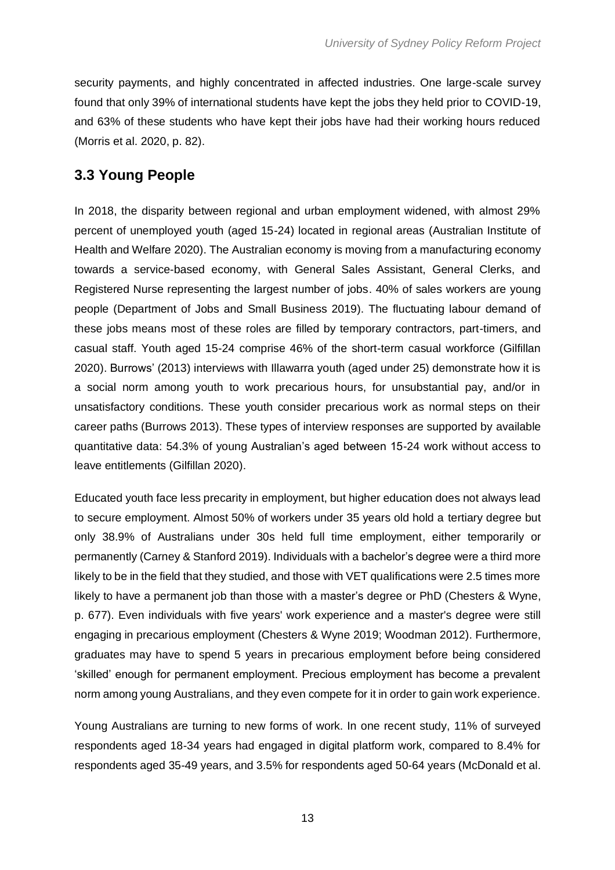security payments, and highly concentrated in affected industries. One large-scale survey found that only 39% of international students have kept the jobs they held prior to COVID-19, and 63% of these students who have kept their jobs have had their working hours reduced (Morris et al. 2020, p. 82).

## <span id="page-14-0"></span>**3.3 Young People**

In 2018, the disparity between regional and urban employment widened, with almost 29% percent of unemployed youth (aged 15-24) located in regional areas (Australian Institute of Health and Welfare 2020). The Australian economy is moving from a manufacturing economy towards a service-based economy, with General Sales Assistant, General Clerks, and Registered Nurse representing the largest number of jobs. 40% of sales workers are young people (Department of Jobs and Small Business 2019). The fluctuating labour demand of these jobs means most of these roles are filled by temporary contractors, part-timers, and casual staff. Youth aged 15-24 comprise 46% of the short-term casual workforce (Gilfillan 2020). Burrows' (2013) interviews with Illawarra youth (aged under 25) demonstrate how it is a social norm among youth to work precarious hours, for unsubstantial pay, and/or in unsatisfactory conditions. These youth consider precarious work as normal steps on their career paths (Burrows 2013). These types of interview responses are supported by available quantitative data: 54.3% of young Australian's aged between 15-24 work without access to leave entitlements (Gilfillan 2020).

Educated youth face less precarity in employment, but higher education does not always lead to secure employment. Almost 50% of workers under 35 years old hold a tertiary degree but only 38.9% of Australians under 30s held full time employment, either temporarily or permanently (Carney & Stanford 2019). Individuals with a bachelor's degree were a third more likely to be in the field that they studied, and those with VET qualifications were 2.5 times more likely to have a permanent job than those with a master's degree or PhD (Chesters & Wyne, p. 677). Even individuals with five years' work experience and a master's degree were still engaging in precarious employment (Chesters & Wyne 2019; Woodman 2012). Furthermore, graduates may have to spend 5 years in precarious employment before being considered 'skilled' enough for permanent employment. Precious employment has become a prevalent norm among young Australians, and they even compete for it in order to gain work experience.

Young Australians are turning to new forms of work. In one recent study, 11% of surveyed respondents aged 18-34 years had engaged in digital platform work, compared to 8.4% for respondents aged 35-49 years, and 3.5% for respondents aged 50-64 years (McDonald et al.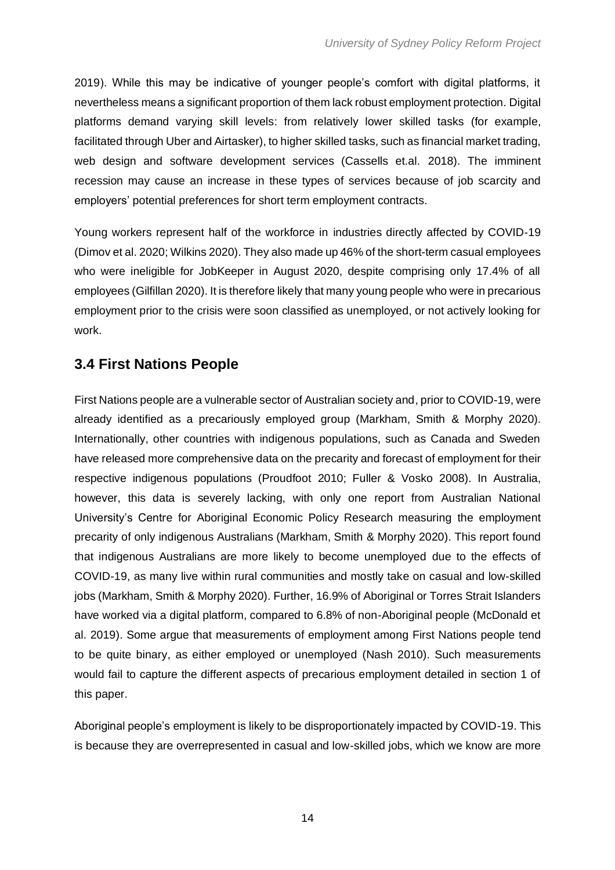2019). While this may be indicative of younger people's comfort with digital platforms, it nevertheless means a significant proportion of them lack robust employment protection. Digital platforms demand varying skill levels: from relatively lower skilled tasks (for example, facilitated through Uber and Airtasker), to higher skilled tasks, such as financial market trading, web design and software development services (Cassells et.al. 2018). The imminent recession may cause an increase in these types of services because of job scarcity and employers' potential preferences for short term employment contracts.

Young workers represent half of the workforce in industries directly affected by COVID-19 (Dimov et al. 2020; Wilkins 2020). They also made up 46% of the short-term casual employees who were ineligible for JobKeeper in August 2020, despite comprising only 17.4% of all employees (Gilfillan 2020). It is therefore likely that many young people who were in precarious employment prior to the crisis were soon classified as unemployed, or not actively looking for work.

### <span id="page-15-0"></span>**3.4 First Nations People**

First Nations people are a vulnerable sector of Australian society and, prior to COVID-19, were already identified as a precariously employed group (Markham, Smith & Morphy 2020). Internationally, other countries with indigenous populations, such as Canada and Sweden have released more comprehensive data on the precarity and forecast of employment for their respective indigenous populations (Proudfoot 2010; Fuller & Vosko 2008). In Australia, however, this data is severely lacking, with only one report from Australian National University's Centre for Aboriginal Economic Policy Research measuring the employment precarity of only indigenous Australians (Markham, Smith & Morphy 2020). This report found that indigenous Australians are more likely to become unemployed due to the effects of COVID-19, as many live within rural communities and mostly take on casual and low-skilled jobs (Markham, Smith & Morphy 2020). Further, 16.9% of Aboriginal or Torres Strait Islanders have worked via a digital platform, compared to 6.8% of non-Aboriginal people (McDonald et al. 2019). Some argue that measurements of employment among First Nations people tend to be quite binary, as either employed or unemployed (Nash 2010). Such measurements would fail to capture the different aspects of precarious employment detailed in section 1 of this paper.

Aboriginal people's employment is likely to be disproportionately impacted by COVID-19. This is because they are overrepresented in casual and low-skilled jobs, which we know are more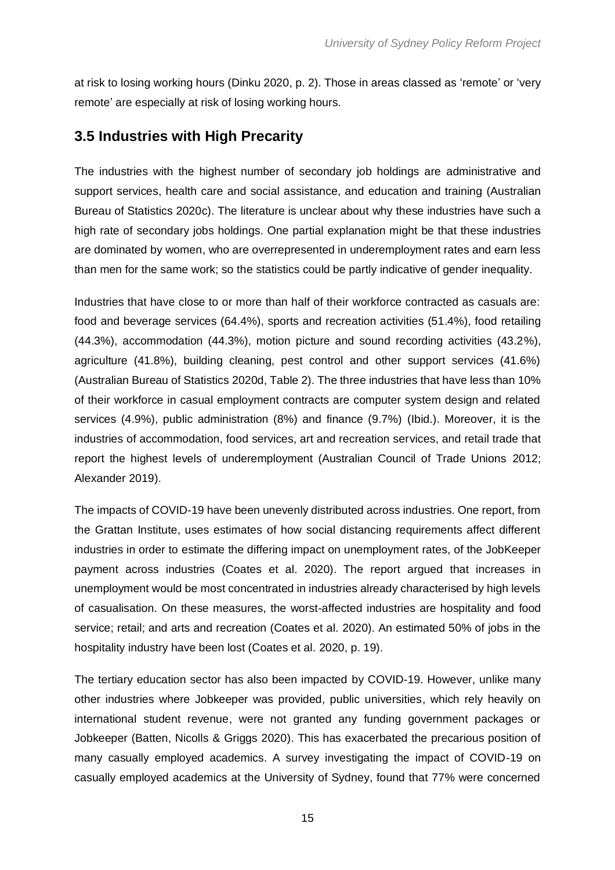at risk to losing working hours (Dinku 2020, p. 2). Those in areas classed as 'remote' or 'very remote' are especially at risk of losing working hours.

#### <span id="page-16-0"></span>**3.5 Industries with High Precarity**

The industries with the highest number of secondary job holdings are administrative and support services, health care and social assistance, and education and training (Australian Bureau of Statistics 2020c). The literature is unclear about why these industries have such a high rate of secondary jobs holdings. One partial explanation might be that these industries are dominated by women, who are overrepresented in underemployment rates and earn less than men for the same work; so the statistics could be partly indicative of gender inequality.

Industries that have close to or more than half of their workforce contracted as casuals are: food and beverage services (64.4%), sports and recreation activities (51.4%), food retailing (44.3%), accommodation (44.3%), motion picture and sound recording activities (43.2%), agriculture (41.8%), building cleaning, pest control and other support services (41.6%) (Australian Bureau of Statistics 2020d, Table 2). The three industries that have less than 10% of their workforce in casual employment contracts are computer system design and related services (4.9%), public administration (8%) and finance (9.7%) (Ibid.). Moreover, it is the industries of accommodation, food services, art and recreation services, and retail trade that report the highest levels of underemployment (Australian Council of Trade Unions 2012; Alexander 2019).

The impacts of COVID-19 have been unevenly distributed across industries. One report, from the Grattan Institute, uses estimates of how social distancing requirements affect different industries in order to estimate the differing impact on unemployment rates, of the JobKeeper payment across industries (Coates et al. 2020). The report argued that increases in unemployment would be most concentrated in industries already characterised by high levels of casualisation. On these measures, the worst-affected industries are hospitality and food service; retail; and arts and recreation (Coates et al. 2020). An estimated 50% of jobs in the hospitality industry have been lost (Coates et al. 2020, p. 19).

The tertiary education sector has also been impacted by COVID-19. However, unlike many other industries where Jobkeeper was provided, public universities, which rely heavily on international student revenue, were not granted any funding government packages or Jobkeeper (Batten, Nicolls & Griggs 2020). This has exacerbated the precarious position of many casually employed academics. A survey investigating the impact of COVID-19 on casually employed academics at the University of Sydney, found that 77% were concerned

15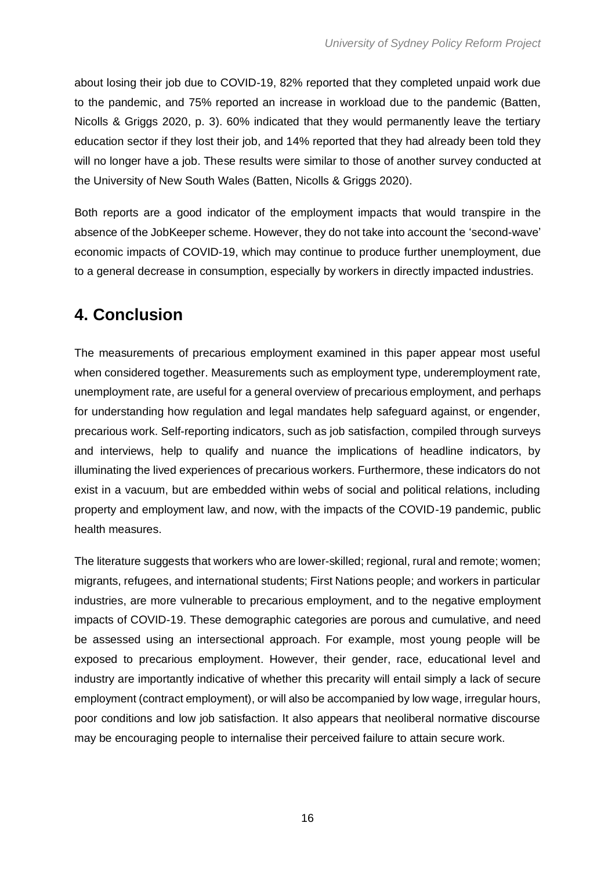about losing their job due to COVID-19, 82% reported that they completed unpaid work due to the pandemic, and 75% reported an increase in workload due to the pandemic (Batten, Nicolls & Griggs 2020, p. 3). 60% indicated that they would permanently leave the tertiary education sector if they lost their job, and 14% reported that they had already been told they will no longer have a job. These results were similar to those of another survey conducted at the University of New South Wales (Batten, Nicolls & Griggs 2020).

Both reports are a good indicator of the employment impacts that would transpire in the absence of the JobKeeper scheme. However, they do not take into account the 'second-wave' economic impacts of COVID-19, which may continue to produce further unemployment, due to a general decrease in consumption, especially by workers in directly impacted industries.

## <span id="page-17-0"></span>**4. Conclusion**

The measurements of precarious employment examined in this paper appear most useful when considered together. Measurements such as employment type, underemployment rate, unemployment rate, are useful for a general overview of precarious employment, and perhaps for understanding how regulation and legal mandates help safeguard against, or engender, precarious work. Self-reporting indicators, such as job satisfaction, compiled through surveys and interviews, help to qualify and nuance the implications of headline indicators, by illuminating the lived experiences of precarious workers. Furthermore, these indicators do not exist in a vacuum, but are embedded within webs of social and political relations, including property and employment law, and now, with the impacts of the COVID-19 pandemic, public health measures.

The literature suggests that workers who are lower-skilled; regional, rural and remote; women; migrants, refugees, and international students; First Nations people; and workers in particular industries, are more vulnerable to precarious employment, and to the negative employment impacts of COVID-19. These demographic categories are porous and cumulative, and need be assessed using an intersectional approach. For example, most young people will be exposed to precarious employment. However, their gender, race, educational level and industry are importantly indicative of whether this precarity will entail simply a lack of secure employment (contract employment), or will also be accompanied by low wage, irregular hours, poor conditions and low job satisfaction. It also appears that neoliberal normative discourse may be encouraging people to internalise their perceived failure to attain secure work.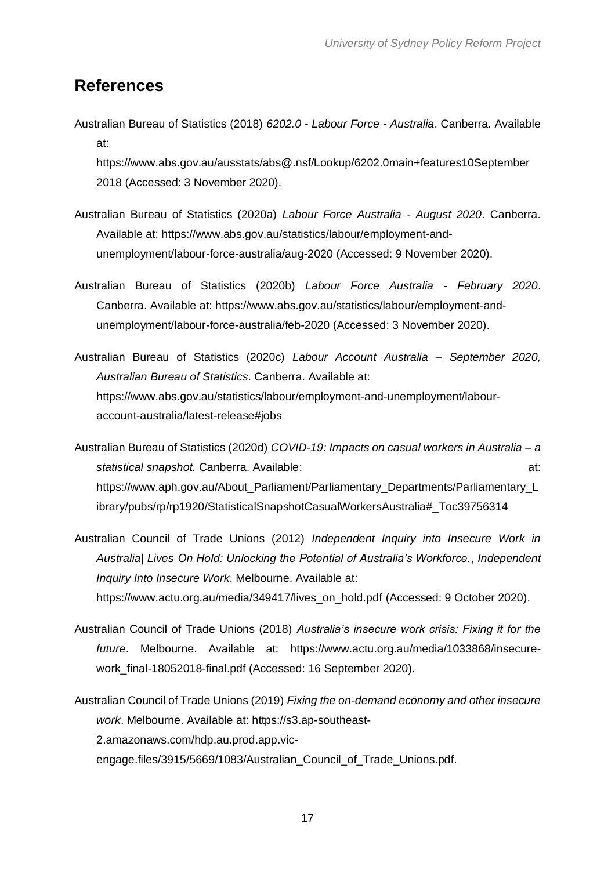### <span id="page-18-0"></span>**References**

Australian Bureau of Statistics (2018) *6202.0 - Labour Force - Australia*. Canberra. Available at:

[https://www.abs.gov.au/ausstats/abs@.nsf/Lookup/6202.0main+features10September](mailto:https://www.abs.gov.au/ausstats/abs@.nsf/Lookup/6202.0main+features10September) 2018 (Accessed: 3 November 2020).

- Australian Bureau of Statistics (2020a) *Labour Force Australia - August 2020*. Canberra. Available at: [https://www.abs.gov.au/statistics/labour/employment-and](https://www.abs.gov.au/statistics/labour/employment-and-unemployment/labour-force-australia/aug-2020)[unemployment/labour-force-australia/aug-2020](https://www.abs.gov.au/statistics/labour/employment-and-unemployment/labour-force-australia/aug-2020) (Accessed: 9 November 2020).
- Australian Bureau of Statistics (2020b) *Labour Force Australia - February 2020*. Canberra. Available at: [https://www.abs.gov.au/statistics/labour/employment-and](https://www.abs.gov.au/statistics/labour/employment-and-unemployment/labour-force-australia/feb-2020)[unemployment/labour-force-australia/feb-2020](https://www.abs.gov.au/statistics/labour/employment-and-unemployment/labour-force-australia/feb-2020) (Accessed: 3 November 2020).
- Australian Bureau of Statistics (2020c) *Labour Account Australia – September 2020, Australian Bureau of Statistics*. Canberra. Available at: https://www.abs.gov.au/statistics/labour/employment-and-unemployment/labouraccount-australia/latest-release#jobs

Australian Bureau of Statistics (2020d) *COVID-19: Impacts on casual workers in Australia – a statistical snapshot.* Canberra. Available: at: https://www.aph.gov.au/About\_Parliament/Parliamentary\_Departments/Parliamentary\_L ibrary/pubs/rp/rp1920/StatisticalSnapshotCasualWorkersAustralia#\_Toc39756314

- Australian Council of Trade Unions (2012) *Independent Inquiry into Insecure Work in Australia| Lives On Hold: Unlocking the Potential of Australia's Workforce.*, *Independent Inquiry Into Insecure Work*. Melbourne. Available at: [https://www.actu.org.au/media/349417/lives\\_on\\_hold.pdf](https://www.actu.org.au/media/349417/lives_on_hold.pdf) (Accessed: 9 October 2020).
- Australian Council of Trade Unions (2018) *Australia's insecure work crisis: Fixing it for the future*. Melbourne. Available at: [https://www.actu.org.au/media/1033868/insecure](https://www.actu.org.au/media/1033868/insecure-work_final-18052018-final.pdf)[work\\_final-18052018-final.pdf](https://www.actu.org.au/media/1033868/insecure-work_final-18052018-final.pdf) (Accessed: 16 September 2020).
- Australian Council of Trade Unions (2019) *Fixing the on-demand economy and other insecure work*. Melbourne. Available at: [https://s3.ap-southeast-](https://s3.ap-southeast-2.amazonaws.com/hdp.au.prod.app.vic-engage.files/3915/5669/1083/Australian_Council_of_Trade_Unions.pdf)[2.amazonaws.com/hdp.au.prod.app.vic](https://s3.ap-southeast-2.amazonaws.com/hdp.au.prod.app.vic-engage.files/3915/5669/1083/Australian_Council_of_Trade_Unions.pdf)[engage.files/3915/5669/1083/Australian\\_Council\\_of\\_Trade\\_Unions.pdf.](https://s3.ap-southeast-2.amazonaws.com/hdp.au.prod.app.vic-engage.files/3915/5669/1083/Australian_Council_of_Trade_Unions.pdf)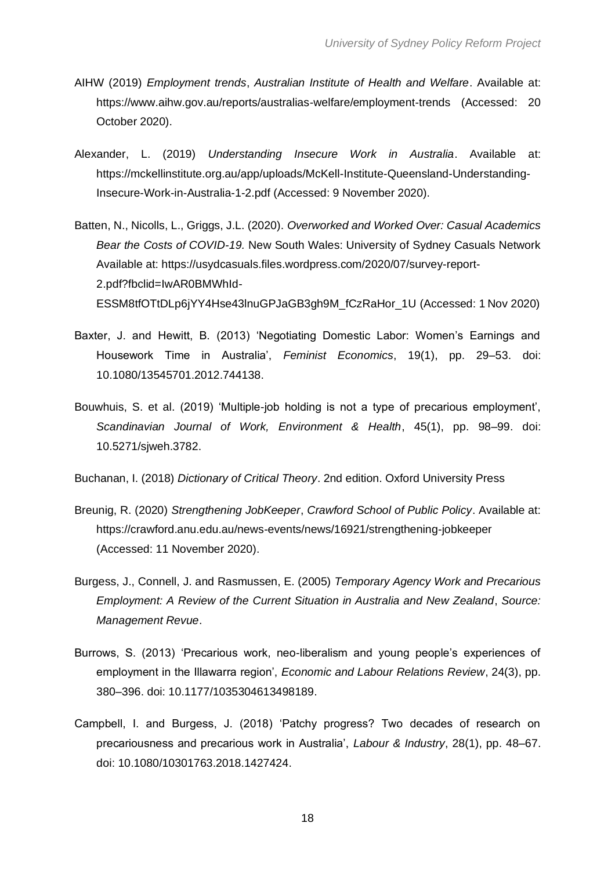- AIHW (2019) *Employment trends*, *Australian Institute of Health and Welfare*. Available at: <https://www.aihw.gov.au/reports/australias-welfare/employment-trends> (Accessed: 20 October 2020).
- Alexander, L. (2019) *Understanding Insecure Work in Australia*. Available at: [https://mckellinstitute.org.au/app/uploads/McKell-Institute-Queensland-Understanding-](https://mckellinstitute.org.au/app/uploads/McKell-Institute-Queensland-Understanding-Insecure-Work-in-Australia-1-2.pdf)[Insecure-Work-in-Australia-1-2.pdf](https://mckellinstitute.org.au/app/uploads/McKell-Institute-Queensland-Understanding-Insecure-Work-in-Australia-1-2.pdf) (Accessed: 9 November 2020).
- Batten, N., Nicolls, L., Griggs, J.L. (2020). *Overworked and Worked Over: Casual Academics Bear the Costs of COVID-19.* New South Wales: University of Sydney Casuals Network Available at: [https://usydcasuals.files.wordpress.com/2020/07/survey-report-](https://usydcasuals.files.wordpress.com/2020/07/survey-report-2.pdf?fbclid=IwAR0BMWhId-ESSM8tfOTtDLp6jYY4Hse43lnuGPJaGB3gh9M_fCzRaHor_1U)[2.pdf?fbclid=IwAR0BMWhId-](https://usydcasuals.files.wordpress.com/2020/07/survey-report-2.pdf?fbclid=IwAR0BMWhId-ESSM8tfOTtDLp6jYY4Hse43lnuGPJaGB3gh9M_fCzRaHor_1U)[ESSM8tfOTtDLp6jYY4Hse43lnuGPJaGB3gh9M\\_fCzRaHor\\_1U](https://usydcasuals.files.wordpress.com/2020/07/survey-report-2.pdf?fbclid=IwAR0BMWhId-ESSM8tfOTtDLp6jYY4Hse43lnuGPJaGB3gh9M_fCzRaHor_1U) (Accessed: 1 Nov 2020)
- Baxter, J. and Hewitt, B. (2013) 'Negotiating Domestic Labor: Women's Earnings and Housework Time in Australia', *Feminist Economics*, 19(1), pp. 29–53. doi: 10.1080/13545701.2012.744138.
- Bouwhuis, S. et al. (2019) 'Multiple-job holding is not a type of precarious employment', *Scandinavian Journal of Work, Environment & Health*, 45(1), pp. 98–99. doi: 10.5271/sjweh.3782.

Buchanan, I. (2018) *Dictionary of Critical Theory*. 2nd edition. Oxford University Press

- Breunig, R. (2020) *Strengthening JobKeeper*, *Crawford School of Public Policy*. Available at: <https://crawford.anu.edu.au/news-events/news/16921/strengthening-jobkeeper> (Accessed: 11 November 2020).
- Burgess, J., Connell, J. and Rasmussen, E. (2005) *Temporary Agency Work and Precarious Employment: A Review of the Current Situation in Australia and New Zealand*, *Source: Management Revue*.
- Burrows, S. (2013) 'Precarious work, neo-liberalism and young people's experiences of employment in the Illawarra region', *Economic and Labour Relations Review*, 24(3), pp. 380–396. doi: 10.1177/1035304613498189.
- Campbell, I. and Burgess, J. (2018) 'Patchy progress? Two decades of research on precariousness and precarious work in Australia', *Labour & Industry*, 28(1), pp. 48–67. doi: 10.1080/10301763.2018.1427424.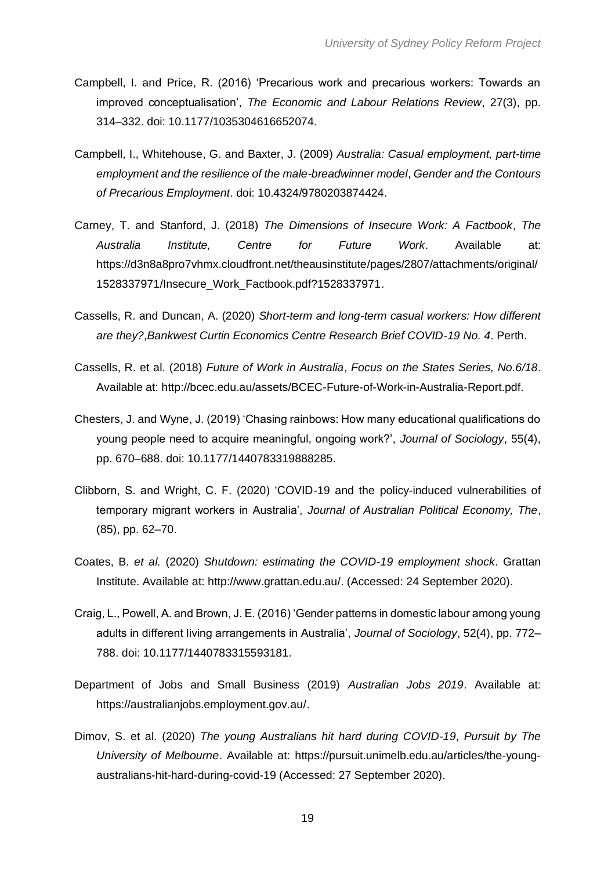- Campbell, I. and Price, R. (2016) 'Precarious work and precarious workers: Towards an improved conceptualisation', *The Economic and Labour Relations Review*, 27(3), pp. 314–332. doi: 10.1177/1035304616652074.
- Campbell, I., Whitehouse, G. and Baxter, J. (2009) *Australia: Casual employment, part-time employment and the resilience of the male-breadwinner model*, *Gender and the Contours of Precarious Employment*. doi: 10.4324/9780203874424.
- Carney, T. and Stanford, J. (2018) *The Dimensions of Insecure Work: A Factbook*, *The Australia Institute, Centre for Future Work*. Available at: [https://d3n8a8pro7vhmx.cloudfront.net/theausinstitute/pages/2807/attachments/original/](https://d3n8a8pro7vhmx.cloudfront.net/theausinstitute/pages/2807/attachments/original/1528337971/Insecure_Work_Factbook.pdf?1528337971) [1528337971/Insecure\\_Work\\_Factbook.pdf?1528337971.](https://d3n8a8pro7vhmx.cloudfront.net/theausinstitute/pages/2807/attachments/original/1528337971/Insecure_Work_Factbook.pdf?1528337971)
- Cassells, R. and Duncan, A. (2020) *Short-term and long-term casual workers: How different are they?*,*Bankwest Curtin Economics Centre Research Brief COVID-19 No. 4*. Perth.
- Cassells, R. et al. (2018) *Future of Work in Australia*, *Focus on the States Series, No.6/18*. Available at: [http://bcec.edu.au/assets/BCEC-Future-of-Work-in-Australia-Report.pdf.](http://bcec.edu.au/assets/BCEC-Future-of-Work-in-Australia-Report.pdf)
- Chesters, J. and Wyne, J. (2019) 'Chasing rainbows: How many educational qualifications do young people need to acquire meaningful, ongoing work?', *Journal of Sociology*, 55(4), pp. 670–688. doi: 10.1177/1440783319888285.
- Clibborn, S. and Wright, C. F. (2020) 'COVID-19 and the policy-induced vulnerabilities of temporary migrant workers in Australia', *Journal of Australian Political Economy, The*, (85), pp. 62–70.
- Coates, B. *et al.* (2020) *Shutdown: estimating the COVID-19 employment shock*. Grattan Institute. Available at: [http://www.grattan.edu.au/.](http://www.grattan.edu.au/) (Accessed: 24 September 2020).
- Craig, L., Powell, A. and Brown, J. E. (2016) 'Gender patterns in domestic labour among young adults in different living arrangements in Australia', *Journal of Sociology*, 52(4), pp. 772– 788. doi: 10.1177/1440783315593181.
- Department of Jobs and Small Business (2019) *Australian Jobs 2019*. Available at: [https://australianjobs.employment.gov.au/.](https://australianjobs.employment.gov.au/)
- Dimov, S. et al. (2020) *The young Australians hit hard during COVID-19*, *Pursuit by The University of Melbourne*. Available at: [https://pursuit.unimelb.edu.au/articles/the-young](https://pursuit.unimelb.edu.au/articles/the-young-australians-hit-hard-during-covid-19)[australians-hit-hard-during-covid-19](https://pursuit.unimelb.edu.au/articles/the-young-australians-hit-hard-during-covid-19) (Accessed: 27 September 2020).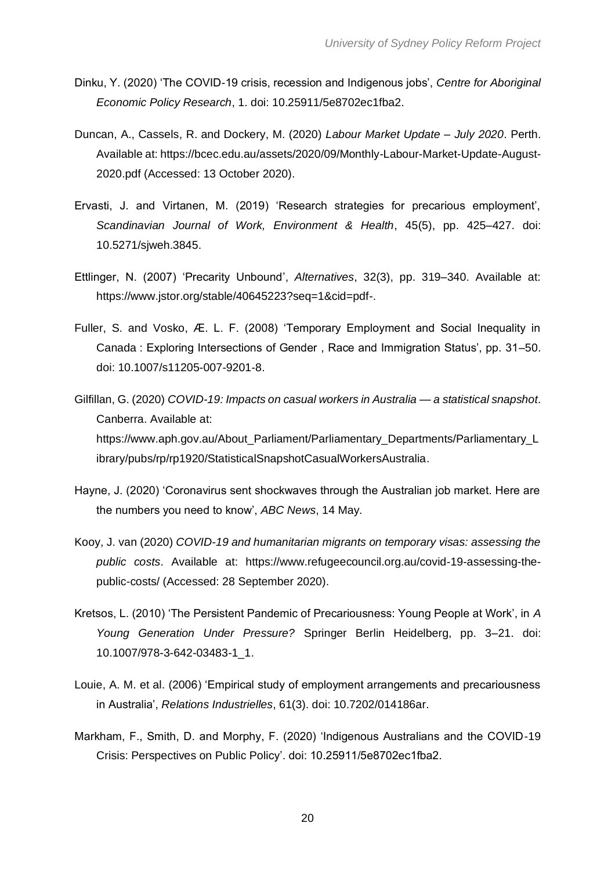- Dinku, Y. (2020) 'The COVID-19 crisis, recession and Indigenous jobs', *Centre for Aboriginal Economic Policy Research*, 1. doi: 10.25911/5e8702ec1fba2.
- Duncan, A., Cassels, R. and Dockery, M. (2020) *Labour Market Update – July 2020*. Perth. Available at: [https://bcec.edu.au/assets/2020/09/Monthly-Labour-Market-Update-August-](https://bcec.edu.au/assets/2020/09/Monthly-Labour-Market-Update-August-2020.pdf)[2020.pdf](https://bcec.edu.au/assets/2020/09/Monthly-Labour-Market-Update-August-2020.pdf) (Accessed: 13 October 2020).
- Ervasti, J. and Virtanen, M. (2019) 'Research strategies for precarious employment', *Scandinavian Journal of Work, Environment & Health*, 45(5), pp. 425–427. doi: 10.5271/sjweh.3845.
- Ettlinger, N. (2007) 'Precarity Unbound', *Alternatives*, 32(3), pp. 319–340. Available at: [https://www.jstor.org/stable/40645223?seq=1&cid=pdf-.](https://www.jstor.org/stable/40645223?seq=1&cid=pdf-)
- Fuller, S. and Vosko, Æ. L. F. (2008) 'Temporary Employment and Social Inequality in Canada : Exploring Intersections of Gender , Race and Immigration Status', pp. 31–50. doi: 10.1007/s11205-007-9201-8.
- Gilfillan, G. (2020) *COVID-19: Impacts on casual workers in Australia — a statistical snapshot*. Canberra. Available at: [https://www.aph.gov.au/About\\_Parliament/Parliamentary\\_Departments/Parliamentary\\_L](https://www.aph.gov.au/About_Parliament/Parliamentary_Departments/Parliamentary_Library/pubs/rp/rp1920/StatisticalSnapshotCasualWorkersAustralia) [ibrary/pubs/rp/rp1920/StatisticalSnapshotCasualWorkersAustralia.](https://www.aph.gov.au/About_Parliament/Parliamentary_Departments/Parliamentary_Library/pubs/rp/rp1920/StatisticalSnapshotCasualWorkersAustralia)
- Hayne, J. (2020) 'Coronavirus sent shockwaves through the Australian job market. Here are the numbers you need to know', *ABC News*, 14 May.
- Kooy, J. van (2020) *COVID-19 and humanitarian migrants on temporary visas: assessing the public costs*. Available at: [https://www.refugeecouncil.org.au/covid-19-assessing-the](https://www.refugeecouncil.org.au/covid-19-assessing-the-public-costs/)[public-costs/](https://www.refugeecouncil.org.au/covid-19-assessing-the-public-costs/) (Accessed: 28 September 2020).
- Kretsos, L. (2010) 'The Persistent Pandemic of Precariousness: Young People at Work', in *A Young Generation Under Pressure?* Springer Berlin Heidelberg, pp. 3–21. doi: 10.1007/978-3-642-03483-1\_1.
- Louie, A. M. et al. (2006) 'Empirical study of employment arrangements and precariousness in Australia', *Relations Industrielles*, 61(3). doi: 10.7202/014186ar.
- Markham, F., Smith, D. and Morphy, F. (2020) 'Indigenous Australians and the COVID-19 Crisis: Perspectives on Public Policy'. doi: 10.25911/5e8702ec1fba2.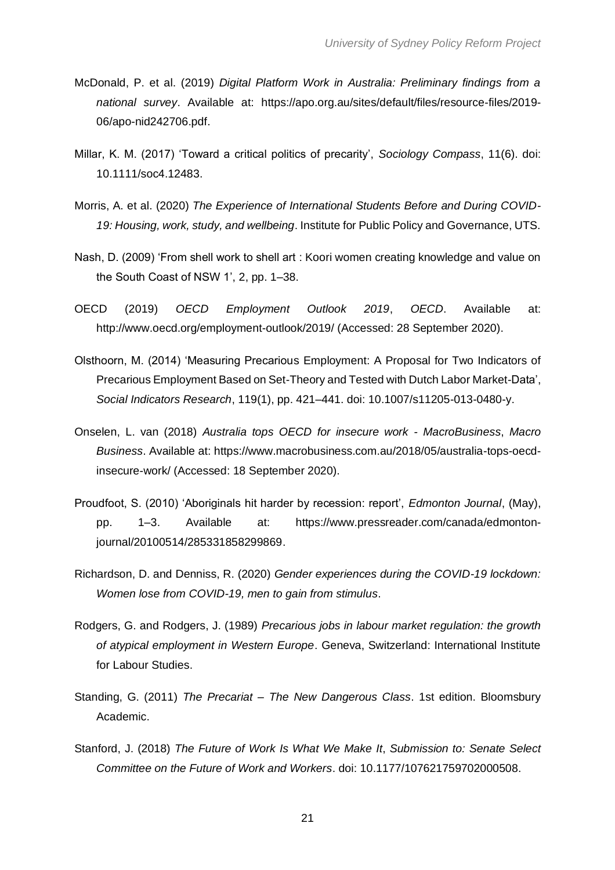- McDonald, P. et al. (2019) *Digital Platform Work in Australia: Preliminary findings from a national survey*. Available at: [https://apo.org.au/sites/default/files/resource-files/2019-](https://apo.org.au/sites/default/files/resource-files/2019-06/apo-nid242706.pdf) [06/apo-nid242706.pdf.](https://apo.org.au/sites/default/files/resource-files/2019-06/apo-nid242706.pdf)
- Millar, K. M. (2017) 'Toward a critical politics of precarity', *Sociology Compass*, 11(6). doi: 10.1111/soc4.12483.
- Morris, A. et al. (2020) *The Experience of International Students Before and During COVID-19: Housing, work, study, and wellbeing*. Institute for Public Policy and Governance, UTS.
- Nash, D. (2009) 'From shell work to shell art : Koori women creating knowledge and value on the South Coast of NSW 1', 2, pp. 1–38.
- OECD (2019) *OECD Employment Outlook 2019*, *OECD*. Available at: <http://www.oecd.org/employment-outlook/2019/> (Accessed: 28 September 2020).
- Olsthoorn, M. (2014) 'Measuring Precarious Employment: A Proposal for Two Indicators of Precarious Employment Based on Set-Theory and Tested with Dutch Labor Market-Data', *Social Indicators Research*, 119(1), pp. 421–441. doi: 10.1007/s11205-013-0480-y.
- Onselen, L. van (2018) *Australia tops OECD for insecure work - MacroBusiness*, *Macro Business*. Available at: [https://www.macrobusiness.com.au/2018/05/australia-tops-oecd](https://www.macrobusiness.com.au/2018/05/australia-tops-oecd-insecure-work/)[insecure-work/](https://www.macrobusiness.com.au/2018/05/australia-tops-oecd-insecure-work/) (Accessed: 18 September 2020).
- Proudfoot, S. (2010) 'Aboriginals hit harder by recession: report', *Edmonton Journal*, (May), pp. 1–3. Available at: [https://www.pressreader.com/canada/edmonton](https://www.pressreader.com/canada/edmonton-journal/20100514/285331858299869)[journal/20100514/285331858299869.](https://www.pressreader.com/canada/edmonton-journal/20100514/285331858299869)
- Richardson, D. and Denniss, R. (2020) *Gender experiences during the COVID-19 lockdown: Women lose from COVID-19, men to gain from stimulus*.
- Rodgers, G. and Rodgers, J. (1989) *Precarious jobs in labour market regulation: the growth of atypical employment in Western Europe*. Geneva, Switzerland: International Institute for Labour Studies.
- Standing, G. (2011) *The Precariat – The New Dangerous Class*. 1st edition. Bloomsbury Academic.
- Stanford, J. (2018) *The Future of Work Is What We Make It*, *Submission to: Senate Select Committee on the Future of Work and Workers*. doi: 10.1177/107621759702000508.